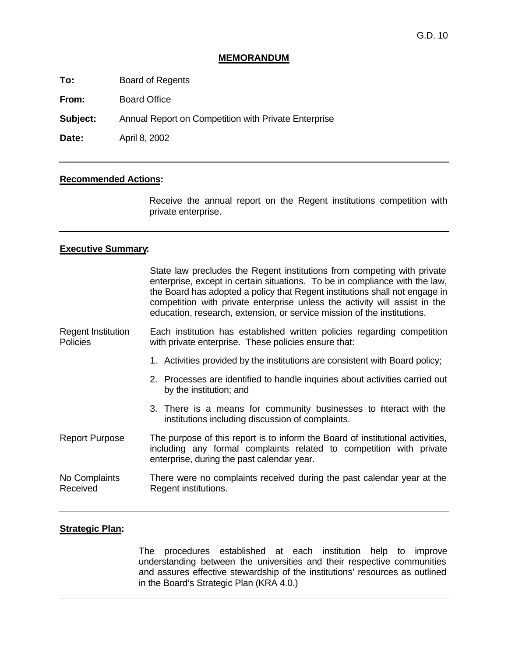# **MEMORANDUM**

**To:** Board of Regents

**From:** Board Office

**Subject:** Annual Report on Competition with Private Enterprise

**Date:** April 8, 2002

## **Recommended Actions:**

Receive the annual report on the Regent institutions competition with private enterprise.

#### **Executive Summary:**

|                                              | State law precludes the Regent institutions from competing with private<br>enterprise, except in certain situations. To be in compliance with the law,<br>the Board has adopted a policy that Regent institutions shall not engage in<br>competition with private enterprise unless the activity will assist in the<br>education, research, extension, or service mission of the institutions. |
|----------------------------------------------|------------------------------------------------------------------------------------------------------------------------------------------------------------------------------------------------------------------------------------------------------------------------------------------------------------------------------------------------------------------------------------------------|
| <b>Regent Institution</b><br><b>Policies</b> | Each institution has established written policies regarding competition<br>with private enterprise. These policies ensure that:                                                                                                                                                                                                                                                                |
|                                              | 1. Activities provided by the institutions are consistent with Board policy;                                                                                                                                                                                                                                                                                                                   |
|                                              | 2. Processes are identified to handle inquiries about activities carried out<br>by the institution; and                                                                                                                                                                                                                                                                                        |
|                                              | 3. There is a means for community businesses to hiteract with the<br>institutions including discussion of complaints.                                                                                                                                                                                                                                                                          |
| <b>Report Purpose</b>                        | The purpose of this report is to inform the Board of institutional activities,<br>including any formal complaints related to competition with private<br>enterprise, during the past calendar year.                                                                                                                                                                                            |
| No Complaints<br>Received                    | There were no complaints received during the past calendar year at the<br>Regent institutions.                                                                                                                                                                                                                                                                                                 |

#### **Strategic Plan:**

The procedures established at each institution help to improve understanding between the universities and their respective communities and assures effective stewardship of the institutions' resources as outlined in the Board's Strategic Plan (KRA 4.0.)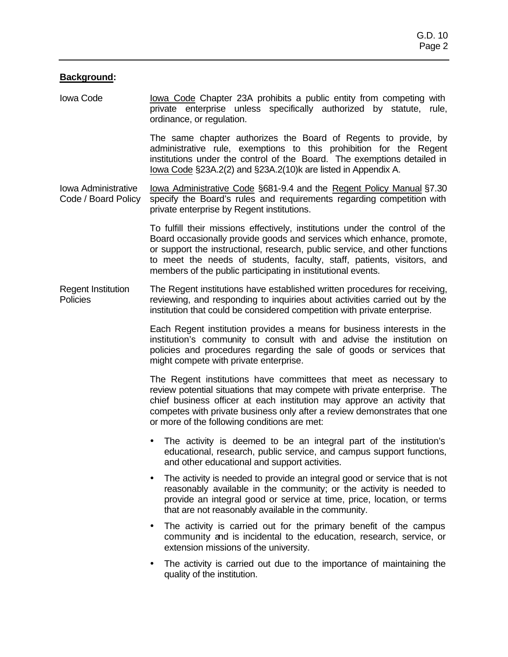### **Background:**

Iowa Code Iowa Code Chapter 23A prohibits a public entity from competing with private enterprise unless specifically authorized by statute, rule, ordinance, or regulation.

> The same chapter authorizes the Board of Regents to provide, by administrative rule, exemptions to this prohibition for the Regent institutions under the control of the Board. The exemptions detailed in Iowa Code §23A.2(2) and §23A.2(10)k are listed in Appendix A.

Iowa Administrative Code / Board Policy Iowa Administrative Code §681-9.4 and the Regent Policy Manual §7.30 specify the Board's rules and requirements regarding competition with private enterprise by Regent institutions.

> To fulfill their missions effectively, institutions under the control of the Board occasionally provide goods and services which enhance, promote, or support the instructional, research, public service, and other functions to meet the needs of students, faculty, staff, patients, visitors, and members of the public participating in institutional events.

Regent Institution **Policies** The Regent institutions have established written procedures for receiving, reviewing, and responding to inquiries about activities carried out by the institution that could be considered competition with private enterprise.

> Each Regent institution provides a means for business interests in the institution's community to consult with and advise the institution on policies and procedures regarding the sale of goods or services that might compete with private enterprise.

> The Regent institutions have committees that meet as necessary to review potential situations that may compete with private enterprise. The chief business officer at each institution may approve an activity that competes with private business only after a review demonstrates that one or more of the following conditions are met:

- The activity is deemed to be an integral part of the institution's educational, research, public service, and campus support functions, and other educational and support activities.
- The activity is needed to provide an integral good or service that is not reasonably available in the community; or the activity is needed to provide an integral good or service at time, price, location, or terms that are not reasonably available in the community.
- The activity is carried out for the primary benefit of the campus community and is incidental to the education, research, service, or extension missions of the university.
- The activity is carried out due to the importance of maintaining the quality of the institution.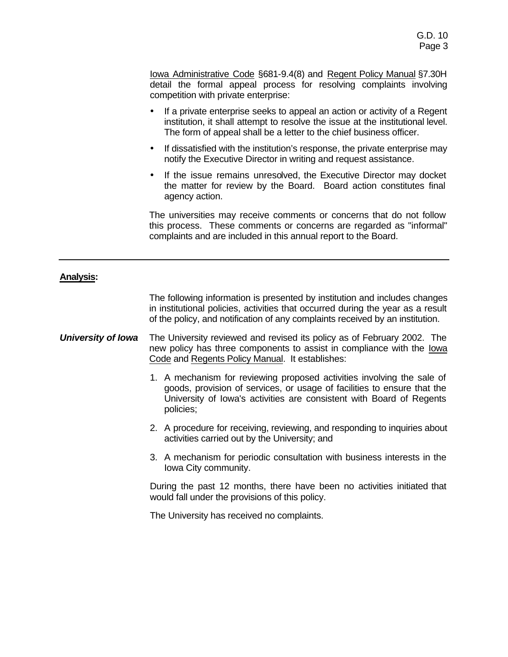Iowa Administrative Code §681-9.4(8) and Regent Policy Manual §7.30H detail the formal appeal process for resolving complaints involving competition with private enterprise:

- If a private enterprise seeks to appeal an action or activity of a Regent institution, it shall attempt to resolve the issue at the institutional level. The form of appeal shall be a letter to the chief business officer.
- If dissatisfied with the institution's response, the private enterprise may notify the Executive Director in writing and request assistance.
- If the issue remains unresolved, the Executive Director may docket the matter for review by the Board. Board action constitutes final agency action.

The universities may receive comments or concerns that do not follow this process. These comments or concerns are regarded as "informal" complaints and are included in this annual report to the Board.

# **Analysis:**

The following information is presented by institution and includes changes in institutional policies, activities that occurred during the year as a result of the policy, and notification of any complaints received by an institution.

- **University of Iowa** The University reviewed and revised its policy as of February 2002. The new policy has three components to assist in compliance with the Iowa Code and Regents Policy Manual. It establishes:
	- 1. A mechanism for reviewing proposed activities involving the sale of goods, provision of services, or usage of facilities to ensure that the University of Iowa's activities are consistent with Board of Regents policies;
	- 2. A procedure for receiving, reviewing, and responding to inquiries about activities carried out by the University; and
	- 3. A mechanism for periodic consultation with business interests in the Iowa City community.

During the past 12 months, there have been no activities initiated that would fall under the provisions of this policy.

The University has received no complaints.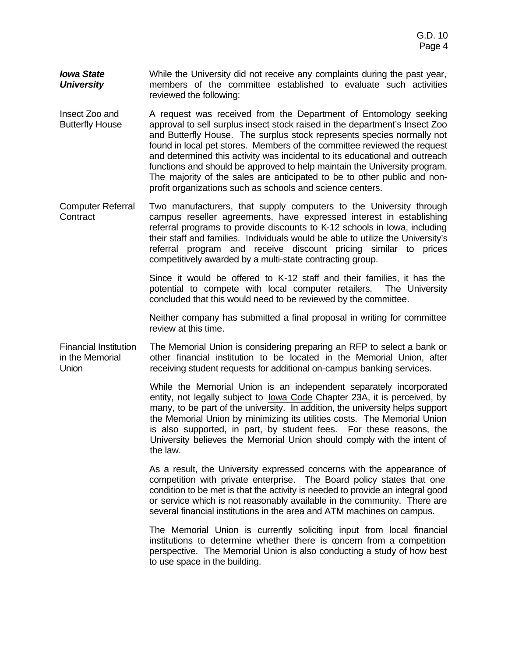- *Iowa State University* While the University did not receive any complaints during the past year, members of the committee established to evaluate such activities reviewed the following:
- Insect Zoo and Butterfly House A request was received from the Department of Entomology seeking approval to sell surplus insect stock raised in the department's Insect Zoo and Butterfly House. The surplus stock represents species normally not found in local pet stores. Members of the committee reviewed the request and determined this activity was incidental to its educational and outreach functions and should be approved to help maintain the University program. The majority of the sales are anticipated to be to other public and nonprofit organizations such as schools and science centers.
- Computer Referral **Contract** Two manufacturers, that supply computers to the University through campus reseller agreements, have expressed interest in establishing referral programs to provide discounts to K-12 schools in Iowa, including their staff and families. Individuals would be able to utilize the University's referral program and receive discount pricing similar to prices competitively awarded by a multi-state contracting group.

Since it would be offered to K-12 staff and their families, it has the potential to compete with local computer retailers. The University concluded that this would need to be reviewed by the committee.

Neither company has submitted a final proposal in writing for committee review at this time.

Financial Institution in the Memorial Union The Memorial Union is considering preparing an RFP to select a bank or other financial institution to be located in the Memorial Union, after receiving student requests for additional on-campus banking services.

> While the Memorial Union is an independent separately incorporated entity, not legally subject to Iowa Code Chapter 23A, it is perceived, by many, to be part of the university. In addition, the university helps support the Memorial Union by minimizing its utilities costs. The Memorial Union is also supported, in part, by student fees. For these reasons, the University believes the Memorial Union should comply with the intent of the law.

> As a result, the University expressed concerns with the appearance of competition with private enterprise. The Board policy states that one condition to be met is that the activity is needed to provide an integral good or service which is not reasonably available in the community. There are several financial institutions in the area and ATM machines on campus.

> The Memorial Union is currently soliciting input from local financial institutions to determine whether there is concern from a competition perspective. The Memorial Union is also conducting a study of how best to use space in the building.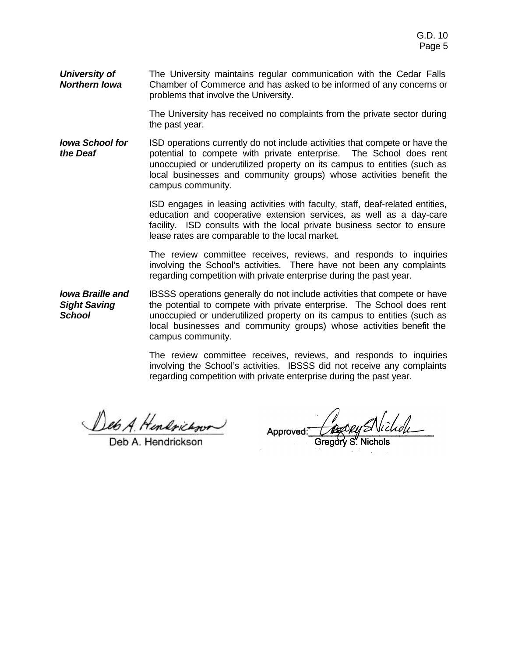*University of Northern Iowa* The University maintains regular communication with the Cedar Falls Chamber of Commerce and has asked to be informed of any concerns or problems that involve the University.

> The University has received no complaints from the private sector during the past year.

*Iowa School for the Deaf* ISD operations currently do not include activities that compete or have the potential to compete with private enterprise. The School does rent unoccupied or underutilized property on its campus to entities (such as local businesses and community groups) whose activities benefit the campus community.

> ISD engages in leasing activities with faculty, staff, deaf-related entities, education and cooperative extension services, as well as a day-care facility. ISD consults with the local private business sector to ensure lease rates are comparable to the local market.

> The review committee receives, reviews, and responds to inquiries involving the School's activities. There have not been any complaints regarding competition with private enterprise during the past year.

*Iowa Braille and Sight Saving School* IBSSS operations generally do not include activities that compete or have the potential to compete with private enterprise. The School does rent unoccupied or underutilized property on its campus to entities (such as local businesses and community groups) whose activities benefit the campus community.

> The review committee receives, reviews, and responds to inquiries involving the School's activities. IBSSS did not receive any complaints regarding competition with private enterprise during the past year.

Deb A. Hendrickson

Deb A. Hendrickson

Approved: